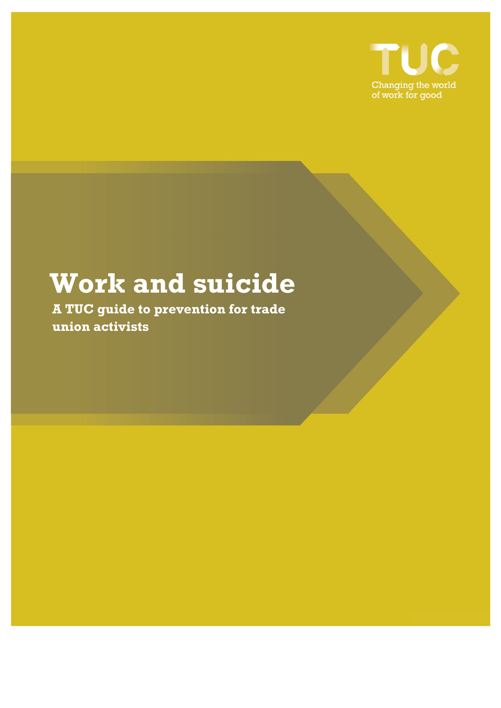

# **Work and suicide**

**A TUC guide to prevention for trade union activists**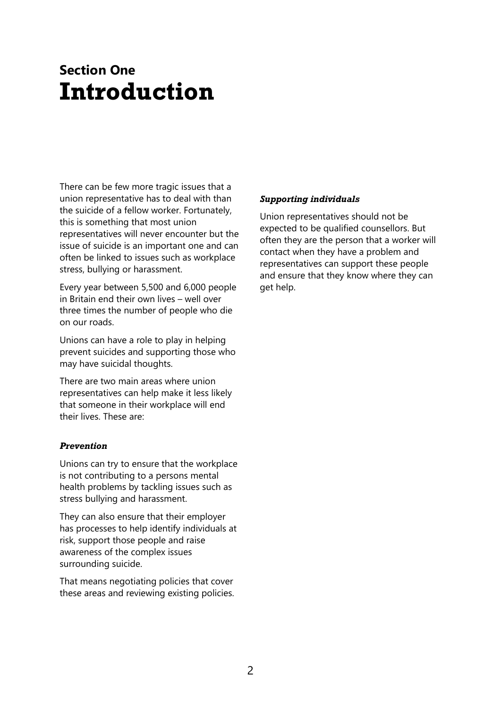## **Section One Introduction**

There can be few more tragic issues that a union representative has to deal with than the suicide of a fellow worker. Fortunately, this is something that most union representatives will never encounter but the issue of suicide is an important one and can often be linked to issues such as workplace stress, bullying or harassment.

Every year between 5,500 and 6,000 people in Britain end their own lives – well over three times the number of people who die on our roads.

Unions can have a role to play in helping prevent suicides and supporting those who may have suicidal thoughts.

There are two main areas where union representatives can help make it less likely that someone in their workplace will end their lives. These are:

#### *Prevention*

Unions can try to ensure that the workplace is not contributing to a persons mental health problems by tackling issues such as stress bullying and harassment.

They can also ensure that their employer has processes to help identify individuals at risk, support those people and raise awareness of the complex issues surrounding suicide.

That means negotiating policies that cover these areas and reviewing existing policies.

#### *Supporting individuals*

Union representatives should not be expected to be qualified counsellors. But often they are the person that a worker will contact when they have a problem and representatives can support these people and ensure that they know where they can get help.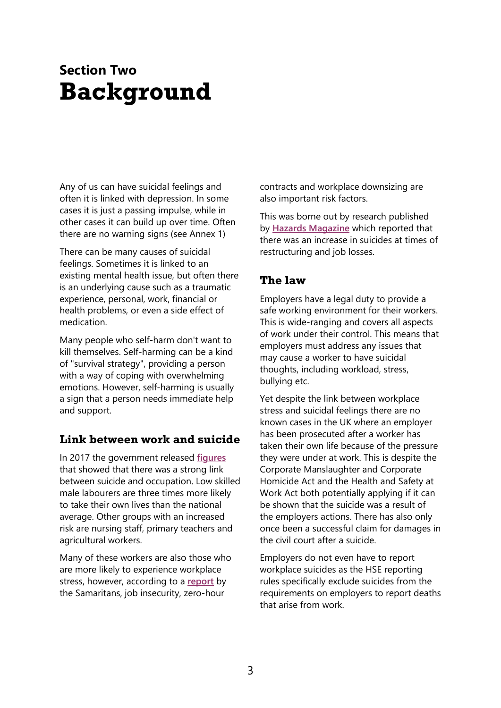## **Section Two Background**

Any of us can have suicidal feelings and often it is linked with depression. In some cases it is just a passing impulse, while in other cases it can build up over time. Often there are no warning signs (see Annex 1)

There can be many causes of suicidal feelings. Sometimes it is linked to an existing mental health issue, but often there is an underlying cause such as a traumatic experience, personal, work, financial or health problems, or even a side effect of medication.

Many people who self-harm don't want to kill themselves. Self-harming can be a kind of "survival strategy", providing a person with a way of coping with overwhelming emotions. However, self-harming is usually a sign that a person needs immediate help and support.

### **Link between work and suicide**

In 2017 the government released **[figures](https://www.ons.gov.uk/peoplepopulationandcommunity/birthsdeathsandmarriages/deaths/articles/suicidebyoccupation/england2011to2015)** that showed that there was a strong link between suicide and occupation. Low skilled male labourers are three times more likely to take their own lives than the national average. Other groups with an increased risk are nursing staff, primary teachers and agricultural workers.

Many of these workers are also those who are more likely to experience workplace stress, however, according to a **[report](https://www.samaritans.org/dying-from-inequality/report)** by the Samaritans, job insecurity, zero-hour

contracts and workplace downsizing are also important risk factors.

This was borne out by research published by **[Hazards Magazine](http://www.hazards.org/suicide/suicidalwork.htm)** which reported that there was an increase in suicides at times of restructuring and job losses.

### **The law**

Employers have a legal duty to provide a safe working environment for their workers. This is wide-ranging and covers all aspects of work under their control. This means that employers must address any issues that may cause a worker to have suicidal thoughts, including workload, stress, bullying etc.

Yet despite the link between workplace stress and suicidal feelings there are no known cases in the UK where an employer has been prosecuted after a worker has taken their own life because of the pressure they were under at work. This is despite the Corporate Manslaughter and Corporate Homicide Act and the Health and Safety at Work Act both potentially applying if it can be shown that the suicide was a result of the employers actions. There has also only once been a successful claim for damages in the civil court after a suicide.

Employers do not even have to report workplace suicides as the HSE reporting rules specifically exclude suicides from the requirements on employers to report deaths that arise from work.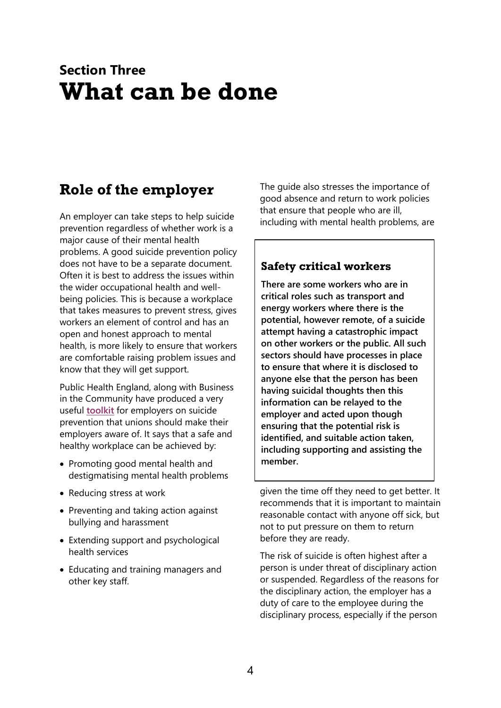## **Section Three What can be done**

### **Role of the employer**

An employer can take steps to help suicide prevention regardless of whether work is a major cause of their mental health problems. A good suicide prevention policy does not have to be a separate document. Often it is best to address the issues within the wider occupational health and wellbeing policies. This is because a workplace that takes measures to prevent stress, gives workers an element of control and has an open and honest approach to mental health, is more likely to ensure that workers are comfortable raising problem issues and know that they will get support.

Public Health England, along with Business in the Community have produced a very useful **[toolkit](https://wellbeing.bitc.org.uk/all-resources/toolkits/suicide-prevention-toolkit)** for employers on suicide prevention that unions should make their employers aware of. It says that a safe and healthy workplace can be achieved by:

- Promoting good mental health and destigmatising mental health problems
- Reducing stress at work
- Preventing and taking action against bullying and harassment
- Extending support and psychological health services
- Educating and training managers and other key staff.

The guide also stresses the importance of good absence and return to work policies that ensure that people who are ill, including with mental health problems, are

### **Safety critical workers**

**There are some workers who are in critical roles such as transport and energy workers where there is the potential, however remote, of a suicide attempt having a catastrophic impact on other workers or the public. All such sectors should have processes in place to ensure that where it is disclosed to anyone else that the person has been having suicidal thoughts then this information can be relayed to the employer and acted upon though ensuring that the potential risk is identified, and suitable action taken, including supporting and assisting the member.**

given the time off they need to get better. It recommends that it is important to maintain reasonable contact with anyone off sick, but not to put pressure on them to return before they are ready.

The risk of suicide is often highest after a person is under threat of disciplinary action or suspended. Regardless of the reasons for the disciplinary action, the employer has a duty of care to the employee during the disciplinary process, especially if the person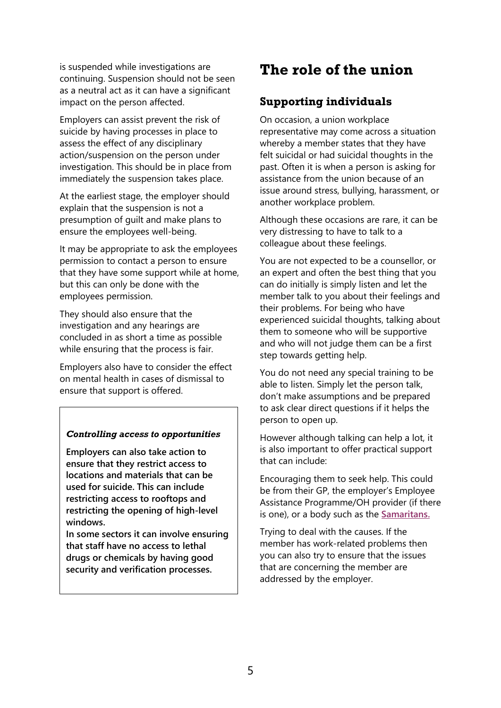is suspended while investigations are continuing. Suspension should not be seen as a neutral act as it can have a significant impact on the person affected.

Employers can assist prevent the risk of suicide by having processes in place to assess the effect of any disciplinary action/suspension on the person under investigation. This should be in place from immediately the suspension takes place.

At the earliest stage, the employer should explain that the suspension is not a presumption of guilt and make plans to ensure the employees well-being.

It may be appropriate to ask the employees permission to contact a person to ensure that they have some support while at home, but this can only be done with the employees permission.

They should also ensure that the investigation and any hearings are concluded in as short a time as possible while ensuring that the process is fair.

Employers also have to consider the effect on mental health in cases of dismissal to ensure that support is offered.

#### *Controlling access to opportunities*

**Employers can also take action to ensure that they restrict access to locations and materials that can be used for suicide. This can include restricting access to rooftops and restricting the opening of high-level windows.** 

**In some sectors it can involve ensuring that staff have no access to lethal drugs or chemicals by having good security and verification processes.**

### **The role of the union**

### **Supporting individuals**

On occasion, a union workplace representative may come across a situation whereby a member states that they have felt suicidal or had suicidal thoughts in the past. Often it is when a person is asking for assistance from the union because of an issue around stress, bullying, harassment, or another workplace problem.

Although these occasions are rare, it can be very distressing to have to talk to a colleague about these feelings.

You are not expected to be a counsellor, or an expert and often the best thing that you can do initially is simply listen and let the member talk to you about their feelings and their problems. For being who have experienced suicidal thoughts, talking about them to someone who will be supportive and who will not judge them can be a first step towards getting help.

You do not need any special training to be able to listen. Simply let the person talk, don't make assumptions and be prepared to ask clear direct questions if it helps the person to open up.

However although talking can help a lot, it is also important to offer practical support that can include:

Encouraging them to seek help. This could be from their GP, the employer's Employee Assistance Programme/OH provider (if there is one), or a body such as the **[Samaritans.](https://www.samaritans.org/)**

Trying to deal with the causes. If the member has work-related problems then you can also try to ensure that the issues that are concerning the member are addressed by the employer.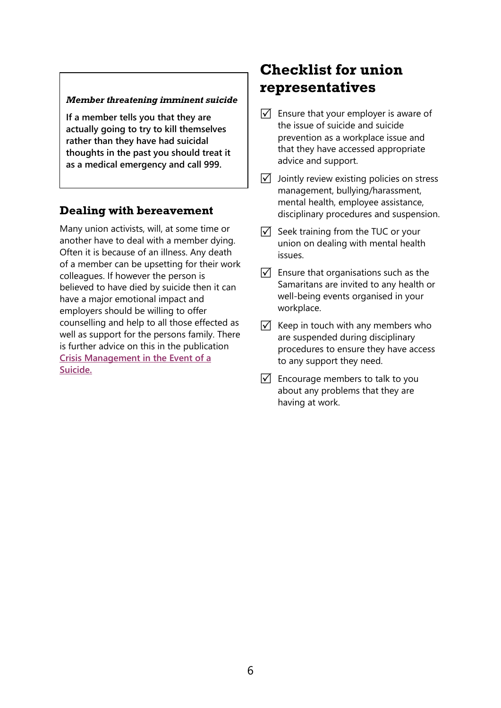#### *Member threatening imminent suicide*

**If a member tells you that they are actually going to try to kill themselves rather than they have had suicidal thoughts in the past you should treat it as a medical emergency and call 999.**

### **Dealing with bereavement**

Many union activists, will, at some time or another have to deal with a member dying. Often it is because of an illness. Any death of a member can be upsetting for their work colleagues. If however the person is believed to have died by suicide then it can have a major emotional impact and employers should be willing to offer counselling and help to all those effected as well as support for the persons family. There is further advice on this in the publication **[Crisis Management in the Event of a](http://wellbeing.bitc.org.uk/sites/default/files/business_in_the_community_crisis_management_in_the_event_of_a_suicide_toolkit.pdf)  [Suicide.](http://wellbeing.bitc.org.uk/sites/default/files/business_in_the_community_crisis_management_in_the_event_of_a_suicide_toolkit.pdf)**

### **Checklist for union representatives**

- $\sqrt{\phantom{a}}$  Ensure that your employer is aware of the issue of suicide and suicide prevention as a workplace issue and that they have accessed appropriate advice and support.
- $\sqrt{ }$  Jointly review existing policies on stress management, bullying/harassment, mental health, employee assistance, disciplinary procedures and suspension.
- $\sqrt{ }$  Seek training from the TUC or your union on dealing with mental health issues.
- $\triangledown$  Ensure that organisations such as the [Samaritans](https://www.samaritans.org/) are invited to any health or well-being events organised in your workplace.
- $\overline{V}$  Keep in touch with any members who are suspended during disciplinary procedures to ensure they have access to any support they need.
- $\sqrt{ }$  Encourage members to talk to you about any problems that they are having at work.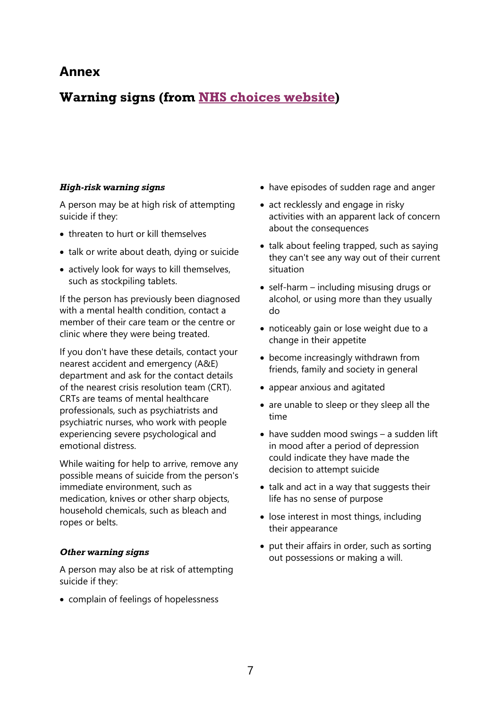### **Annex**

### **Warning signs (from [NHS choices website\)](https://www.nhs.uk/conditions/suicide)**

### *High-risk warning signs*

A person may be at high risk of attempting suicide if they:

- threaten to hurt or kill themselves
- talk or write about death, dying or suicide
- actively look for ways to kill themselves, such as stockpiling tablets.

If the person has previously been diagnosed with a mental health condition, contact a member of their care team or the centre or clinic where they were being treated.

If you don't have these details, contact your nearest accident and emergency (A&E) department and ask for the contact details of the nearest crisis resolution team (CRT). CRTs are teams of mental healthcare professionals, such as psychiatrists and psychiatric nurses, who work with people experiencing severe psychological and emotional distress.

While waiting for help to arrive, remove any possible means of suicide from the person's immediate environment, such as medication, knives or other sharp objects, household chemicals, such as bleach and ropes or belts.

#### *Other warning signs*

A person may also be at risk of attempting suicide if they:

• complain of feelings of hopelessness

- have episodes of sudden rage and anger
- act recklessly and engage in risky activities with an apparent lack of concern about the consequences
- talk about feeling trapped, such as saying they can't see any way out of their current situation
- self-harm including misusing drugs or alcohol, or using more than they usually do
- noticeably gain or lose weight due to a change in their appetite
- become increasingly withdrawn from friends, family and society in general
- appear anxious and agitated
- are unable to sleep or they sleep all the time
- have sudden mood swings a sudden lift in mood after a period of depression could indicate they have made the decision to attempt suicide
- talk and act in a way that suggests their life has no sense of purpose
- lose interest in most things, including their appearance
- put their affairs in order, such as sorting out possessions or making a will.